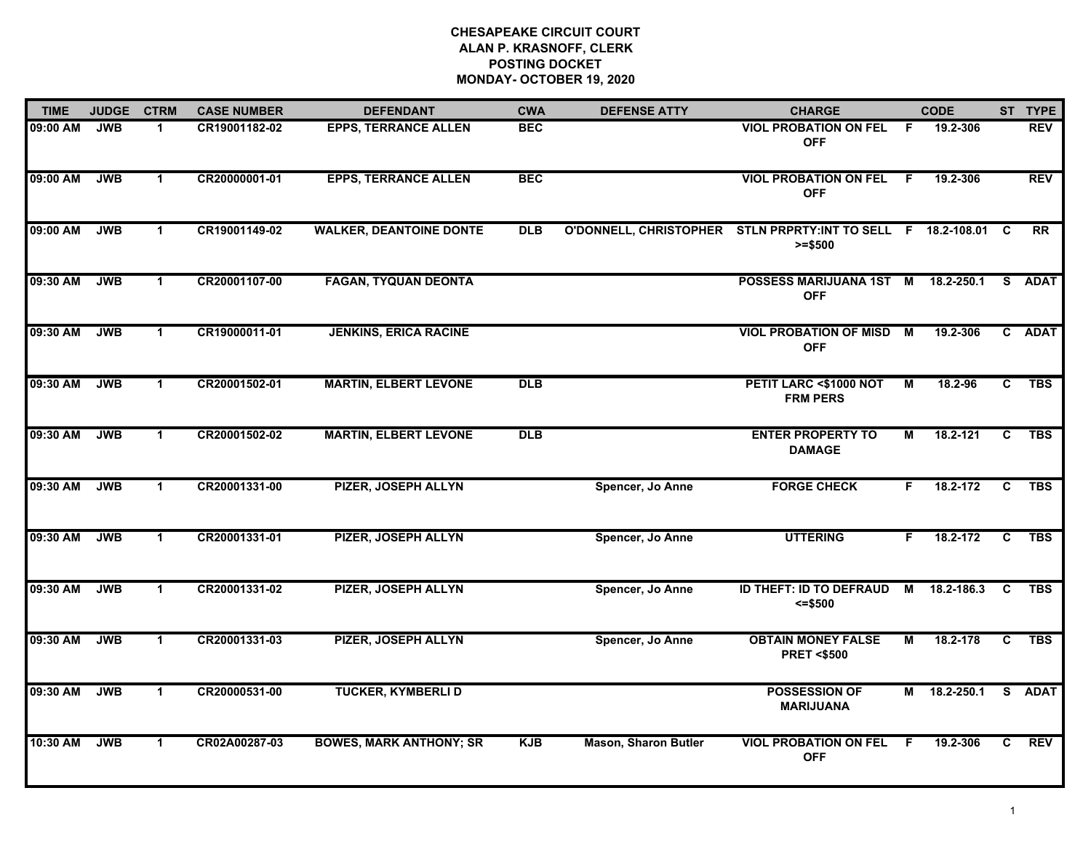| <b>TIME</b> | <b>JUDGE</b> | <b>CTRM</b>          | <b>CASE NUMBER</b> | <b>DEFENDANT</b>               | <b>CWA</b> | <b>DEFENSE ATTY</b>         | <b>CHARGE</b>                                                               |    | <b>CODE</b> |    | ST TYPE    |
|-------------|--------------|----------------------|--------------------|--------------------------------|------------|-----------------------------|-----------------------------------------------------------------------------|----|-------------|----|------------|
| 09:00 AM    | <b>JWB</b>   | 1                    | CR19001182-02      | <b>EPPS, TERRANCE ALLEN</b>    | <b>BEC</b> |                             | <b>VIOL PROBATION ON FEL</b><br><b>OFF</b>                                  | F. | 19.2-306    |    | <b>REV</b> |
| 09:00 AM    | <b>JWB</b>   | $\mathbf{1}$         | CR20000001-01      | <b>EPPS, TERRANCE ALLEN</b>    | <b>BEC</b> |                             | <b>VIOL PROBATION ON FEL</b><br><b>OFF</b>                                  | F. | 19.2-306    |    | <b>REV</b> |
| 09:00 AM    | <b>JWB</b>   | $\blacktriangleleft$ | CR19001149-02      | <b>WALKER, DEANTOINE DONTE</b> | <b>DLB</b> |                             | O'DONNELL, CHRISTOPHER STLN PRPRTY:INT TO SELL F 18.2-108.01 C<br>$>= $500$ |    |             |    | <b>RR</b>  |
| 09:30 AM    | <b>JWB</b>   | $\mathbf 1$          | CR20001107-00      | <b>FAGAN, TYQUAN DEONTA</b>    |            |                             | POSSESS MARIJUANA 1ST M 18.2-250.1<br><b>OFF</b>                            |    |             |    | S ADAT     |
| 09:30 AM    | <b>JWB</b>   | $\mathbf{1}$         | CR19000011-01      | <b>JENKINS, ERICA RACINE</b>   |            |                             | <b>VIOL PROBATION OF MISD</b><br><b>OFF</b>                                 | M  | 19.2-306    |    | C ADAT     |
| 09:30 AM    | <b>JWB</b>   | $\blacktriangleleft$ | CR20001502-01      | <b>MARTIN, ELBERT LEVONE</b>   | DLB        |                             | PETIT LARC <\$1000 NOT<br><b>FRM PERS</b>                                   | М  | 18.2-96     | C  | <b>TBS</b> |
| 09:30 AM    | <b>JWB</b>   | $\mathbf{1}$         | CR20001502-02      | <b>MARTIN, ELBERT LEVONE</b>   | DLB        |                             | <b>ENTER PROPERTY TO</b><br><b>DAMAGE</b>                                   | М  | 18.2-121    | C  | <b>TBS</b> |
| 09:30 AM    | <b>JWB</b>   | $\mathbf 1$          | CR20001331-00      | <b>PIZER, JOSEPH ALLYN</b>     |            | Spencer, Jo Anne            | <b>FORGE CHECK</b>                                                          | F. | 18.2-172    | C  | <b>TBS</b> |
| 09:30 AM    | <b>JWB</b>   | $\mathbf 1$          | CR20001331-01      | <b>PIZER, JOSEPH ALLYN</b>     |            | Spencer, Jo Anne            | <b>UTTERING</b>                                                             | F. | 18.2-172    | C  | <b>TBS</b> |
| 09:30 AM    | <b>JWB</b>   | $\blacktriangleleft$ | CR20001331-02      | <b>PIZER, JOSEPH ALLYN</b>     |            | Spencer, Jo Anne            | <b>ID THEFT: ID TO DEFRAUD</b><br>$= $500$                                  | M  | 18.2-186.3  | C  | <b>TBS</b> |
| 09:30 AM    | <b>JWB</b>   | $\blacktriangleleft$ | CR20001331-03      | <b>PIZER, JOSEPH ALLYN</b>     |            | Spencer, Jo Anne            | <b>OBTAIN MONEY FALSE</b><br><b>PRET &lt;\$500</b>                          | М  | 18.2-178    | C  | <b>TBS</b> |
| 09:30 AM    | <b>JWB</b>   | $\mathbf{1}$         | CR20000531-00      | <b>TUCKER, KYMBERLI D</b>      |            |                             | <b>POSSESSION OF</b><br><b>MARIJUANA</b>                                    | М  | 18.2-250.1  |    | S ADAT     |
| 10:30 AM    | <b>JWB</b>   | $\mathbf 1$          | CR02A00287-03      | <b>BOWES, MARK ANTHONY; SR</b> | <b>KJB</b> | <b>Mason, Sharon Butler</b> | <b>VIOL PROBATION ON FEL</b><br><b>OFF</b>                                  | -F | 19.2-306    | C. | <b>REV</b> |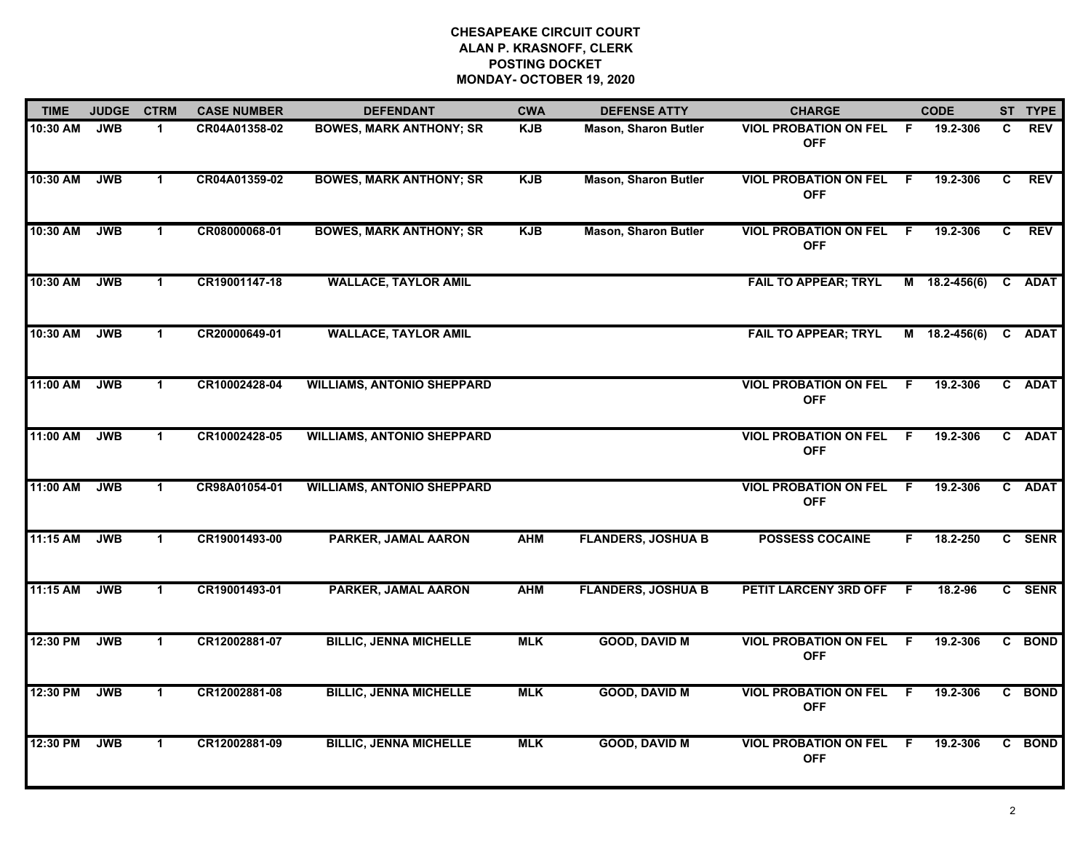| <b>TIME</b> | <b>JUDGE</b> | <b>CTRM</b>          | <b>CASE NUMBER</b> | <b>DEFENDANT</b>                  | <b>CWA</b> | <b>DEFENSE ATTY</b>         | <b>CHARGE</b>                                |     | <b>CODE</b>     |    | ST TYPE     |
|-------------|--------------|----------------------|--------------------|-----------------------------------|------------|-----------------------------|----------------------------------------------|-----|-----------------|----|-------------|
| 10:30 AM    | <b>JWB</b>   | $\mathbf 1$          | CR04A01358-02      | <b>BOWES, MARK ANTHONY; SR</b>    | <b>KJB</b> | <b>Mason, Sharon Butler</b> | <b>VIOL PROBATION ON FEL</b><br><b>OFF</b>   | - F | 19.2-306        | C. | <b>REV</b>  |
| 10:30 AM    | <b>JWB</b>   | $\blacktriangleleft$ | CR04A01359-02      | <b>BOWES, MARK ANTHONY; SR</b>    | <b>KJB</b> | <b>Mason, Sharon Butler</b> | <b>VIOL PROBATION ON FEL</b><br><b>OFF</b>   | - F | 19.2-306        | C  | <b>REV</b>  |
| 10:30 AM    | <b>JWB</b>   | $\mathbf 1$          | CR08000068-01      | <b>BOWES, MARK ANTHONY; SR</b>    | <b>KJB</b> | <b>Mason, Sharon Butler</b> | <b>VIOL PROBATION ON FEL</b><br><b>OFF</b>   | F.  | 19.2-306        | C. | <b>REV</b>  |
| 10:30 AM    | <b>JWB</b>   | $\blacktriangleleft$ | CR19001147-18      | <b>WALLACE, TAYLOR AMIL</b>       |            |                             | <b>FAIL TO APPEAR; TRYL</b>                  |     | $M$ 18.2-456(6) | C. | <b>ADAT</b> |
| 10:30 AM    | <b>JWB</b>   | $\blacktriangleleft$ | CR20000649-01      | <b>WALLACE, TAYLOR AMIL</b>       |            |                             | <b>FAIL TO APPEAR; TRYL</b>                  |     | $M$ 18.2-456(6) |    | C ADAT      |
| 11:00 AM    | <b>JWB</b>   | $\mathbf{1}$         | CR10002428-04      | <b>WILLIAMS, ANTONIO SHEPPARD</b> |            |                             | <b>VIOL PROBATION ON FEL F</b><br><b>OFF</b> |     | 19.2-306        |    | C ADAT      |
| 11:00 AM    | <b>JWB</b>   | $\mathbf{1}$         | CR10002428-05      | <b>WILLIAMS, ANTONIO SHEPPARD</b> |            |                             | <b>VIOL PROBATION ON FEL</b><br><b>OFF</b>   | -F. | 19.2-306        |    | C ADAT      |
| 11:00 AM    | <b>JWB</b>   | $\blacktriangleleft$ | CR98A01054-01      | <b>WILLIAMS, ANTONIO SHEPPARD</b> |            |                             | <b>VIOL PROBATION ON FEL</b><br><b>OFF</b>   | -F  | 19.2-306        |    | C ADAT      |
| $11:15$ AM  | <b>JWB</b>   | -1                   | CR19001493-00      | PARKER, JAMAL AARON               | <b>AHM</b> | <b>FLANDERS, JOSHUA B</b>   | <b>POSSESS COCAINE</b>                       | F.  | 18.2-250        |    | C SENR      |
| 11:15 AM    | <b>JWB</b>   | $\mathbf{1}$         | CR19001493-01      | PARKER, JAMAL AARON               | <b>AHM</b> | <b>FLANDERS, JOSHUA B</b>   | PETIT LARCENY 3RD OFF                        | E   | $18.2 - 96$     |    | C SENR      |
| 12:30 PM    | <b>JWB</b>   | $\mathbf{1}$         | CR12002881-07      | <b>BILLIC, JENNA MICHELLE</b>     | <b>MLK</b> | <b>GOOD, DAVID M</b>        | <b>VIOL PROBATION ON FEL</b><br><b>OFF</b>   | -F  | 19.2-306        |    | C BOND      |
| 12:30 PM    | <b>JWB</b>   | $\mathbf{1}$         | CR12002881-08      | <b>BILLIC, JENNA MICHELLE</b>     | <b>MLK</b> | <b>GOOD, DAVID M</b>        | <b>VIOL PROBATION ON FEL</b><br><b>OFF</b>   | F.  | 19.2-306        |    | C BOND      |
| 12:30 PM    | <b>JWB</b>   | $\mathbf{1}$         | CR12002881-09      | <b>BILLIC, JENNA MICHELLE</b>     | <b>MLK</b> | <b>GOOD, DAVID M</b>        | <b>VIOL PROBATION ON FEL</b><br><b>OFF</b>   | -F  | 19.2-306        |    | C BOND      |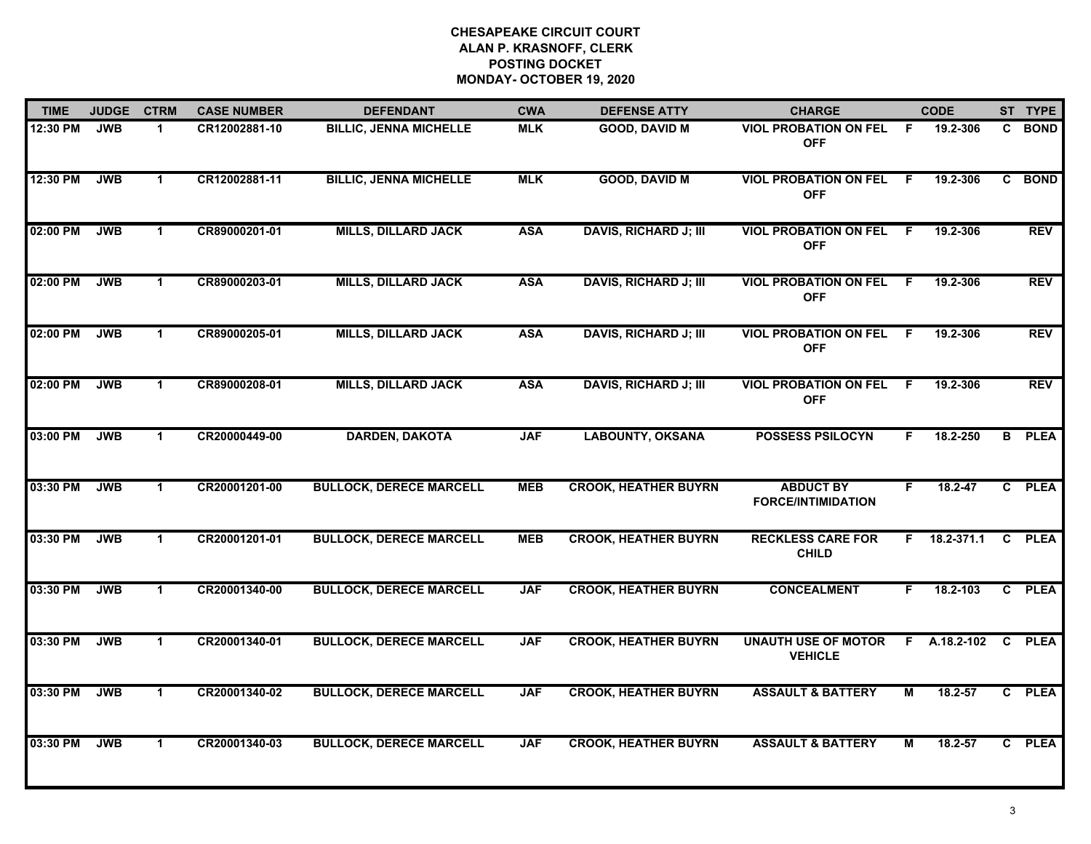| <b>TIME</b> | <b>JUDGE</b> | <b>CTRM</b>          | <b>CASE NUMBER</b> | <b>DEFENDANT</b>               | <b>CWA</b> | <b>DEFENSE ATTY</b>          | <b>CHARGE</b>                                 |                | <b>CODE</b> |                | ST TYPE     |
|-------------|--------------|----------------------|--------------------|--------------------------------|------------|------------------------------|-----------------------------------------------|----------------|-------------|----------------|-------------|
| 12:30 PM    | <b>JWB</b>   | $\mathbf 1$          | CR12002881-10      | <b>BILLIC, JENNA MICHELLE</b>  | <b>MLK</b> | <b>GOOD, DAVID M</b>         | <b>VIOL PROBATION ON FEL</b><br><b>OFF</b>    | - F            | 19.2-306    |                | C BOND      |
| 12:30 PM    | <b>JWB</b>   | $\blacktriangleleft$ | CR12002881-11      | <b>BILLIC, JENNA MICHELLE</b>  | <b>MLK</b> | <b>GOOD, DAVID M</b>         | <b>VIOL PROBATION ON FEL</b><br><b>OFF</b>    | F.             | 19.2-306    | C.             | <b>BOND</b> |
| 02:00 PM    | <b>JWB</b>   | $\mathbf 1$          | CR89000201-01      | <b>MILLS, DILLARD JACK</b>     | <b>ASA</b> | <b>DAVIS, RICHARD J; III</b> | <b>VIOL PROBATION ON FEL</b><br><b>OFF</b>    | F.             | 19.2-306    |                | <b>REV</b>  |
| 02:00 PM    | <b>JWB</b>   | $\blacktriangleleft$ | CR89000203-01      | <b>MILLS, DILLARD JACK</b>     | <b>ASA</b> | <b>DAVIS, RICHARD J; III</b> | <b>VIOL PROBATION ON FEL</b><br><b>OFF</b>    | F.             | 19.2-306    |                | REV         |
| 02:00 PM    | <b>JWB</b>   | $\blacktriangleleft$ | CR89000205-01      | <b>MILLS, DILLARD JACK</b>     | <b>ASA</b> | <b>DAVIS, RICHARD J; III</b> | <b>VIOL PROBATION ON FEL</b><br><b>OFF</b>    | F.             | 19.2-306    |                | <b>REV</b>  |
| 02:00 PM    | <b>JWB</b>   | $\mathbf{1}$         | CR89000208-01      | <b>MILLS, DILLARD JACK</b>     | <b>ASA</b> | <b>DAVIS, RICHARD J; III</b> | <b>VIOL PROBATION ON FEL</b><br><b>OFF</b>    | - F            | 19.2-306    |                | <b>REV</b>  |
| 03:00 PM    | <b>JWB</b>   | $\mathbf{1}$         | CR20000449-00      | <b>DARDEN, DAKOTA</b>          | <b>JAF</b> | <b>LABOUNTY, OKSANA</b>      | <b>POSSESS PSILOCYN</b>                       | F.             | 18.2-250    | $\overline{B}$ | <b>PLEA</b> |
| 03:30 PM    | <b>JWB</b>   | $\blacktriangleleft$ | CR20001201-00      | <b>BULLOCK, DERECE MARCELL</b> | <b>MEB</b> | <b>CROOK, HEATHER BUYRN</b>  | <b>ABDUCT BY</b><br><b>FORCE/INTIMIDATION</b> | F              | $18.2 - 47$ |                | C PLEA      |
| 03:30 PM    | <b>JWB</b>   | -1                   | CR20001201-01      | <b>BULLOCK, DERECE MARCELL</b> | <b>MEB</b> | <b>CROOK, HEATHER BUYRN</b>  | <b>RECKLESS CARE FOR</b><br><b>CHILD</b>      | F.             | 18.2-371.1  | $\mathbf{c}$   | <b>PLEA</b> |
| 03:30 PM    | <b>JWB</b>   | $\blacktriangleleft$ | CR20001340-00      | <b>BULLOCK, DERECE MARCELL</b> | <b>JAF</b> | <b>CROOK, HEATHER BUYRN</b>  | <b>CONCEALMENT</b>                            | F.             | 18.2-103    |                | C PLEA      |
| 03:30 PM    | <b>JWB</b>   | $\mathbf{1}$         | CR20001340-01      | <b>BULLOCK, DERECE MARCELL</b> | <b>JAF</b> | <b>CROOK, HEATHER BUYRN</b>  | <b>UNAUTH USE OF MOTOR</b><br><b>VEHICLE</b>  | F.             | A.18.2-102  | C              | <b>PLEA</b> |
| 03:30 PM    | <b>JWB</b>   | $\mathbf{1}$         | CR20001340-02      | <b>BULLOCK, DERECE MARCELL</b> | <b>JAF</b> | <b>CROOK, HEATHER BUYRN</b>  | <b>ASSAULT &amp; BATTERY</b>                  | $\overline{M}$ | 18.2-57     |                | C PLEA      |
| 03:30 PM    | <b>JWB</b>   | $\mathbf 1$          | CR20001340-03      | <b>BULLOCK, DERECE MARCELL</b> | <b>JAF</b> | <b>CROOK, HEATHER BUYRN</b>  | <b>ASSAULT &amp; BATTERY</b>                  | М              | 18.2-57     |                | C PLEA      |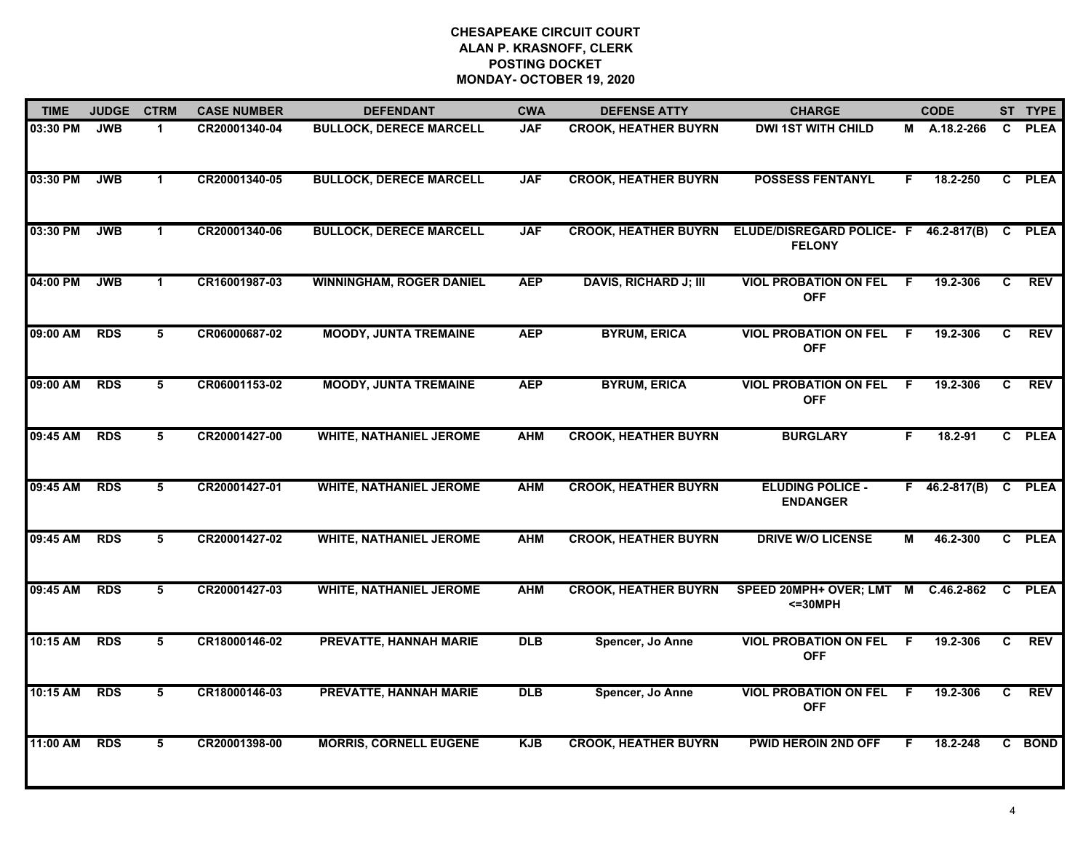| <b>TIME</b> | <b>JUDGE</b> | <b>CTRM</b>          | <b>CASE NUMBER</b> | <b>DEFENDANT</b>                | <b>CWA</b> | <b>DEFENSE ATTY</b>          | <b>CHARGE</b>                                    |    | <b>CODE</b>     |              | ST TYPE     |
|-------------|--------------|----------------------|--------------------|---------------------------------|------------|------------------------------|--------------------------------------------------|----|-----------------|--------------|-------------|
| 03:30 PM    | <b>JWB</b>   | $\blacktriangleleft$ | CR20001340-04      | <b>BULLOCK, DERECE MARCELL</b>  | <b>JAF</b> | <b>CROOK, HEATHER BUYRN</b>  | <b>DWI 1ST WITH CHILD</b>                        |    | M A.18.2-266    | $\mathbf{c}$ | <b>PLEA</b> |
| 03:30 PM    | <b>JWB</b>   | $\blacktriangleleft$ | CR20001340-05      | <b>BULLOCK, DERECE MARCELL</b>  | <b>JAF</b> | <b>CROOK, HEATHER BUYRN</b>  | <b>POSSESS FENTANYL</b>                          | F. | 18.2-250        |              | C PLEA      |
| 03:30 PM    | <b>JWB</b>   | $\blacktriangleleft$ | CR20001340-06      | <b>BULLOCK, DERECE MARCELL</b>  | <b>JAF</b> | <b>CROOK, HEATHER BUYRN</b>  | ELUDE/DISREGARD POLICE- F<br><b>FELONY</b>       |    | 46.2-817(B)     | C            | <b>PLEA</b> |
| 04:00 PM    | <b>JWB</b>   | $\blacktriangleleft$ | CR16001987-03      | <b>WINNINGHAM, ROGER DANIEL</b> | <b>AEP</b> | <b>DAVIS, RICHARD J; III</b> | <b>VIOL PROBATION ON FEL</b><br><b>OFF</b>       | F. | 19.2-306        | C.           | <b>REV</b>  |
| 09:00 AM    | <b>RDS</b>   | 5                    | CR06000687-02      | <b>MOODY, JUNTA TREMAINE</b>    | <b>AEP</b> | <b>BYRUM, ERICA</b>          | <b>VIOL PROBATION ON FEL</b><br><b>OFF</b>       | F. | 19.2-306        | C.           | <b>REV</b>  |
| 09:00 AM    | <b>RDS</b>   | 5                    | CR06001153-02      | <b>MOODY, JUNTA TREMAINE</b>    | <b>AEP</b> | <b>BYRUM, ERICA</b>          | <b>VIOL PROBATION ON FEL</b><br><b>OFF</b>       | F. | 19.2-306        | C.           | <b>REV</b>  |
| 09:45 AM    | <b>RDS</b>   | 5                    | CR20001427-00      | <b>WHITE, NATHANIEL JEROME</b>  | <b>AHM</b> | <b>CROOK, HEATHER BUYRN</b>  | <b>BURGLARY</b>                                  | F. | 18.2-91         |              | C PLEA      |
| 09:45 AM    | <b>RDS</b>   | $5\overline{)}$      | CR20001427-01      | <b>WHITE, NATHANIEL JEROME</b>  | <b>AHM</b> | <b>CROOK, HEATHER BUYRN</b>  | <b>ELUDING POLICE -</b><br><b>ENDANGER</b>       |    | $F$ 46.2-817(B) |              | C PLEA      |
| 09:45 AM    | <b>RDS</b>   | 5                    | CR20001427-02      | <b>WHITE, NATHANIEL JEROME</b>  | <b>AHM</b> | <b>CROOK, HEATHER BUYRN</b>  | <b>DRIVE W/O LICENSE</b>                         | M  | 46.2-300        |              | C PLEA      |
| 09:45 AM    | <b>RDS</b>   | 5                    | CR20001427-03      | <b>WHITE, NATHANIEL JEROME</b>  | <b>AHM</b> | <b>CROOK, HEATHER BUYRN</b>  | SPEED 20MPH+ OVER; LMT M C.46.2-862<br>$<=30MPH$ |    |                 |              | C PLEA      |
| 10:15 AM    | <b>RDS</b>   | 5                    | CR18000146-02      | <b>PREVATTE, HANNAH MARIE</b>   | <b>DLB</b> | Spencer, Jo Anne             | <b>VIOL PROBATION ON FEL</b><br><b>OFF</b>       | -F | 19.2-306        | C.           | <b>REV</b>  |
| 10:15 AM    | <b>RDS</b>   | 5                    | CR18000146-03      | <b>PREVATTE, HANNAH MARIE</b>   | <b>DLB</b> | Spencer, Jo Anne             | <b>VIOL PROBATION ON FEL</b><br><b>OFF</b>       | F. | 19.2-306        | C            | <b>REV</b>  |
| 11:00 AM    | <b>RDS</b>   | 5                    | CR20001398-00      | <b>MORRIS, CORNELL EUGENE</b>   | <b>KJB</b> | <b>CROOK, HEATHER BUYRN</b>  | <b>PWID HEROIN 2ND OFF</b>                       | F. | 18.2-248        |              | C BOND      |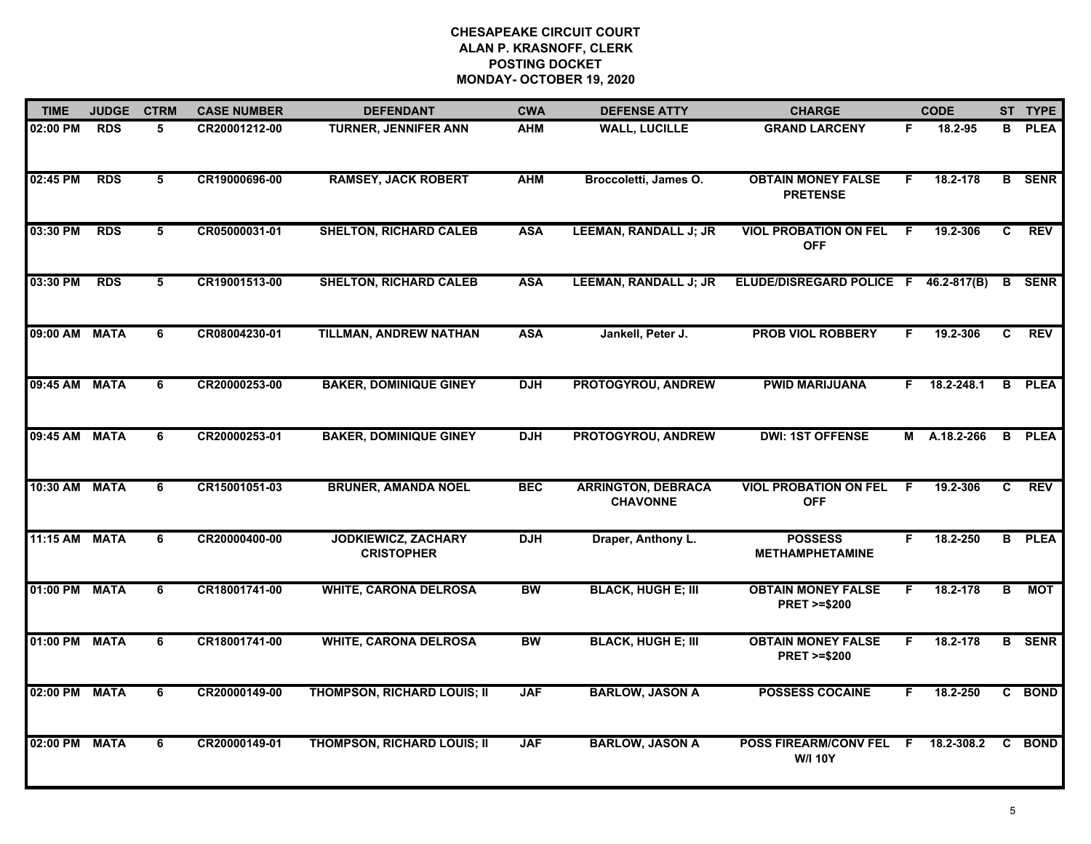| <b>TIME</b>   | <b>JUDGE</b> | <b>CTRM</b> | <b>CASE NUMBER</b> | <b>DEFENDANT</b>                                | <b>CWA</b> | <b>DEFENSE ATTY</b>                          | <b>CHARGE</b>                                       |    | <b>CODE</b>        |                | ST TYPE       |
|---------------|--------------|-------------|--------------------|-------------------------------------------------|------------|----------------------------------------------|-----------------------------------------------------|----|--------------------|----------------|---------------|
| 02:00 PM      | <b>RDS</b>   | 5           | CR20001212-00      | <b>TURNER, JENNIFER ANN</b>                     | <b>AHM</b> | <b>WALL, LUCILLE</b>                         | <b>GRAND LARCENY</b>                                | F. | 18.2-95            | B              | <b>PLEA</b>   |
| 02:45 PM      | <b>RDS</b>   | 5           | CR19000696-00      | <b>RAMSEY, JACK ROBERT</b>                      | <b>AHM</b> | Broccoletti, James O.                        | <b>OBTAIN MONEY FALSE</b><br><b>PRETENSE</b>        | F. | 18.2-178           |                | <b>B</b> SENR |
| 03:30 PM      | <b>RDS</b>   | $5^{\circ}$ | CR05000031-01      | <b>SHELTON, RICHARD CALEB</b>                   | <b>ASA</b> | <b>LEEMAN, RANDALL J; JR</b>                 | <b>VIOL PROBATION ON FEL</b><br><b>OFF</b>          | -F | 19.2-306           | $\overline{c}$ | <b>REV</b>    |
| 03:30 PM      | <b>RDS</b>   | 5           | CR19001513-00      | <b>SHELTON, RICHARD CALEB</b>                   | <b>ASA</b> | <b>LEEMAN, RANDALL J; JR</b>                 | ELUDE/DISREGARD POLICE F 46.2-817(B)                |    |                    | B              | <b>SENR</b>   |
| 09:00 AM      | <b>MATA</b>  | 6           | CR08004230-01      | <b>TILLMAN, ANDREW NATHAN</b>                   | <b>ASA</b> | Jankell, Peter J.                            | <b>PROB VIOL ROBBERY</b>                            | F. | 19.2-306           | C.             | <b>REV</b>    |
| 09:45 AM MATA |              | 6           | CR20000253-00      | <b>BAKER, DOMINIQUE GINEY</b>                   | <b>DJH</b> | PROTOGYROU, ANDREW                           | <b>PWID MARIJUANA</b>                               |    | $F = 18.2 - 248.1$ |                | <b>B</b> PLEA |
| 09:45 AM      | <b>MATA</b>  | 6           | CR20000253-01      | <b>BAKER, DOMINIQUE GINEY</b>                   | <b>DJH</b> | PROTOGYROU, ANDREW                           | <b>DWI: 1ST OFFENSE</b>                             |    | M A.18.2-266       |                | <b>B</b> PLEA |
| 10:30 AM MATA |              | 6           | CR15001051-03      | <b>BRUNER, AMANDA NOEL</b>                      | <b>BEC</b> | <b>ARRINGTON, DEBRACA</b><br><b>CHAVONNE</b> | <b>VIOL PROBATION ON FEL</b><br><b>OFF</b>          | F. | 19.2-306           | C.             | REV           |
| 11:15 AM      | <b>MATA</b>  | 6           | CR20000400-00      | <b>JODKIEWICZ, ZACHARY</b><br><b>CRISTOPHER</b> | <b>DJH</b> | Draper, Anthony L.                           | <b>POSSESS</b><br><b>METHAMPHETAMINE</b>            | F. | 18.2-250           |                | <b>B</b> PLEA |
| 01:00 PM      | <b>MATA</b>  | 6           | CR18001741-00      | <b>WHITE, CARONA DELROSA</b>                    | <b>BW</b>  | <b>BLACK, HUGH E; III</b>                    | <b>OBTAIN MONEY FALSE</b><br><b>PRET &gt;=\$200</b> | F  | 18.2-178           | В              | MOT           |
| 01:00 PM MATA |              | 6           | CR18001741-00      | <b>WHITE, CARONA DELROSA</b>                    | <b>BW</b>  | <b>BLACK, HUGH E; III</b>                    | <b>OBTAIN MONEY FALSE</b><br><b>PRET &gt;=\$200</b> | F. | 18.2-178           |                | <b>B</b> SENR |
| 02:00 PM MATA |              | 6           | CR20000149-00      | <b>THOMPSON, RICHARD LOUIS; II</b>              | <b>JAF</b> | <b>BARLOW, JASON A</b>                       | <b>POSSESS COCAINE</b>                              | F. | 18.2-250           |                | C BOND        |
| 02:00 PM      | <b>MATA</b>  | 6           | CR20000149-01      | <b>THOMPSON, RICHARD LOUIS; II</b>              | <b>JAF</b> | <b>BARLOW, JASON A</b>                       | POSS FIREARM/CONV FEL F<br><b>W/I 10Y</b>           |    | 18.2-308.2         | C              | <b>BOND</b>   |